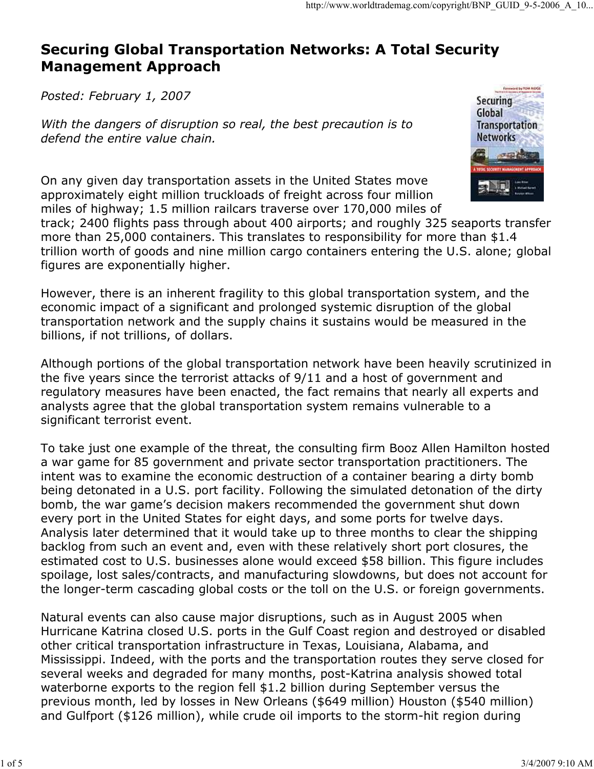# Securing Global Transportation Networks: A Total Security Management Approach

Posted: February 1, 2007

With the dangers of disruption so real, the best precaution is to defend the entire value chain.

On any given day transportation assets in the United States move approximately eight million truckloads of freight across four million miles of highway; 1.5 million railcars traverse over 170,000 miles of



track; 2400 flights pass through about 400 airports; and roughly 325 seaports transfer more than 25,000 containers. This translates to responsibility for more than \$1.4 trillion worth of goods and nine million cargo containers entering the U.S. alone; global figures are exponentially higher.

However, there is an inherent fragility to this global transportation system, and the economic impact of a significant and prolonged systemic disruption of the global transportation network and the supply chains it sustains would be measured in the billions, if not trillions, of dollars.

Although portions of the global transportation network have been heavily scrutinized in the five years since the terrorist attacks of 9/11 and a host of government and regulatory measures have been enacted, the fact remains that nearly all experts and analysts agree that the global transportation system remains vulnerable to a significant terrorist event.

To take just one example of the threat, the consulting firm Booz Allen Hamilton hosted a war game for 85 government and private sector transportation practitioners. The intent was to examine the economic destruction of a container bearing a dirty bomb being detonated in a U.S. port facility. Following the simulated detonation of the dirty bomb, the war game's decision makers recommended the government shut down every port in the United States for eight days, and some ports for twelve days. Analysis later determined that it would take up to three months to clear the shipping backlog from such an event and, even with these relatively short port closures, the estimated cost to U.S. businesses alone would exceed \$58 billion. This figure includes spoilage, lost sales/contracts, and manufacturing slowdowns, but does not account for the longer-term cascading global costs or the toll on the U.S. or foreign governments.

Natural events can also cause major disruptions, such as in August 2005 when Hurricane Katrina closed U.S. ports in the Gulf Coast region and destroyed or disabled other critical transportation infrastructure in Texas, Louisiana, Alabama, and Mississippi. Indeed, with the ports and the transportation routes they serve closed for several weeks and degraded for many months, post-Katrina analysis showed total waterborne exports to the region fell \$1.2 billion during September versus the previous month, led by losses in New Orleans (\$649 million) Houston (\$540 million) and Gulfport (\$126 million), while crude oil imports to the storm-hit region during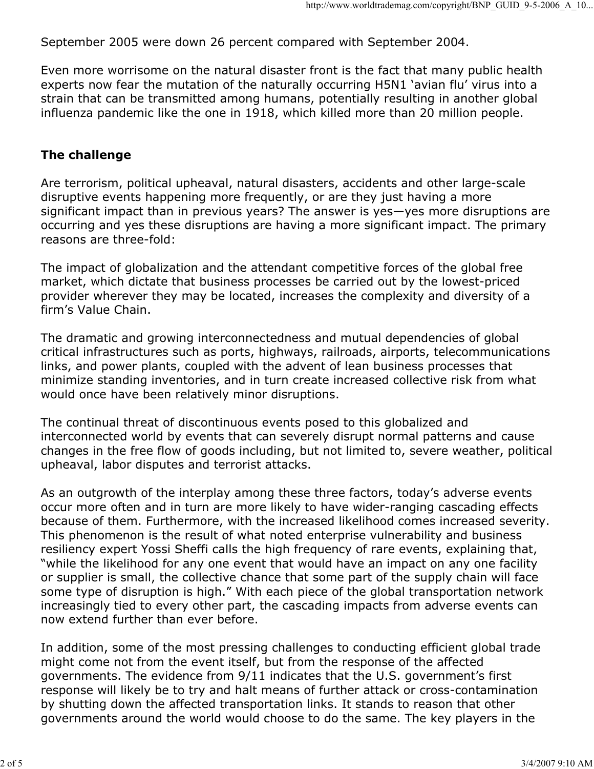September 2005 were down 26 percent compared with September 2004.

Even more worrisome on the natural disaster front is the fact that many public health experts now fear the mutation of the naturally occurring H5N1 'avian flu' virus into a strain that can be transmitted among humans, potentially resulting in another global influenza pandemic like the one in 1918, which killed more than 20 million people.

#### The challenge

Are terrorism, political upheaval, natural disasters, accidents and other large-scale disruptive events happening more frequently, or are they just having a more significant impact than in previous years? The answer is yes—yes more disruptions are occurring and yes these disruptions are having a more significant impact. The primary reasons are three-fold:

The impact of globalization and the attendant competitive forces of the global free market, which dictate that business processes be carried out by the lowest-priced provider wherever they may be located, increases the complexity and diversity of a firm's Value Chain.

The dramatic and growing interconnectedness and mutual dependencies of global critical infrastructures such as ports, highways, railroads, airports, telecommunications links, and power plants, coupled with the advent of lean business processes that minimize standing inventories, and in turn create increased collective risk from what would once have been relatively minor disruptions.

The continual threat of discontinuous events posed to this globalized and interconnected world by events that can severely disrupt normal patterns and cause changes in the free flow of goods including, but not limited to, severe weather, political upheaval, labor disputes and terrorist attacks.

As an outgrowth of the interplay among these three factors, today's adverse events occur more often and in turn are more likely to have wider-ranging cascading effects because of them. Furthermore, with the increased likelihood comes increased severity. This phenomenon is the result of what noted enterprise vulnerability and business resiliency expert Yossi Sheffi calls the high frequency of rare events, explaining that, "while the likelihood for any one event that would have an impact on any one facility or supplier is small, the collective chance that some part of the supply chain will face some type of disruption is high." With each piece of the global transportation network increasingly tied to every other part, the cascading impacts from adverse events can now extend further than ever before.

In addition, some of the most pressing challenges to conducting efficient global trade might come not from the event itself, but from the response of the affected governments. The evidence from 9/11 indicates that the U.S. government's first response will likely be to try and halt means of further attack or cross-contamination by shutting down the affected transportation links. It stands to reason that other governments around the world would choose to do the same. The key players in the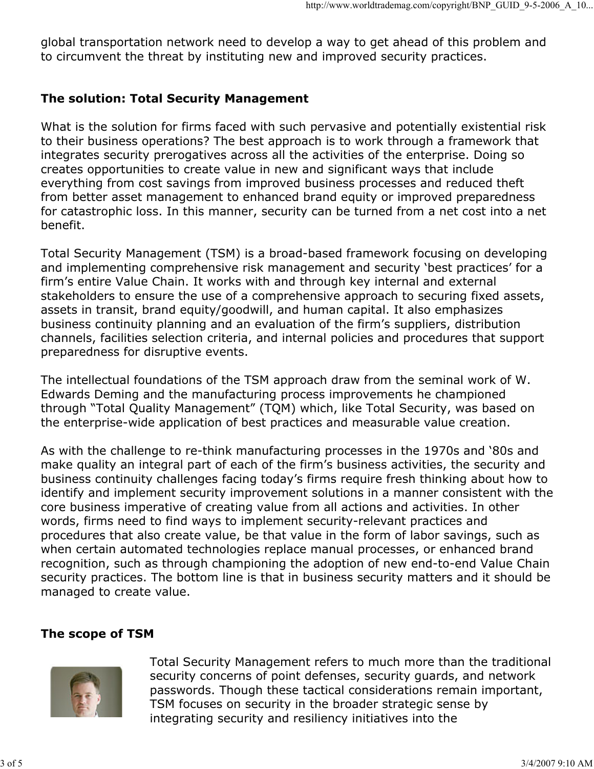global transportation network need to develop a way to get ahead of this problem and to circumvent the threat by instituting new and improved security practices.

## The solution: Total Security Management

What is the solution for firms faced with such pervasive and potentially existential risk to their business operations? The best approach is to work through a framework that integrates security prerogatives across all the activities of the enterprise. Doing so creates opportunities to create value in new and significant ways that include everything from cost savings from improved business processes and reduced theft from better asset management to enhanced brand equity or improved preparedness for catastrophic loss. In this manner, security can be turned from a net cost into a net benefit.

Total Security Management (TSM) is a broad-based framework focusing on developing and implementing comprehensive risk management and security 'best practices' for a firm's entire Value Chain. It works with and through key internal and external stakeholders to ensure the use of a comprehensive approach to securing fixed assets, assets in transit, brand equity/goodwill, and human capital. It also emphasizes business continuity planning and an evaluation of the firm's suppliers, distribution channels, facilities selection criteria, and internal policies and procedures that support preparedness for disruptive events.

The intellectual foundations of the TSM approach draw from the seminal work of W. Edwards Deming and the manufacturing process improvements he championed through "Total Quality Management" (TQM) which, like Total Security, was based on the enterprise-wide application of best practices and measurable value creation.

As with the challenge to re-think manufacturing processes in the 1970s and '80s and make quality an integral part of each of the firm's business activities, the security and business continuity challenges facing today's firms require fresh thinking about how to identify and implement security improvement solutions in a manner consistent with the core business imperative of creating value from all actions and activities. In other words, firms need to find ways to implement security-relevant practices and procedures that also create value, be that value in the form of labor savings, such as when certain automated technologies replace manual processes, or enhanced brand recognition, such as through championing the adoption of new end-to-end Value Chain security practices. The bottom line is that in business security matters and it should be managed to create value.

### The scope of TSM



Total Security Management refers to much more than the traditional security concerns of point defenses, security guards, and network passwords. Though these tactical considerations remain important, TSM focuses on security in the broader strategic sense by integrating security and resiliency initiatives into the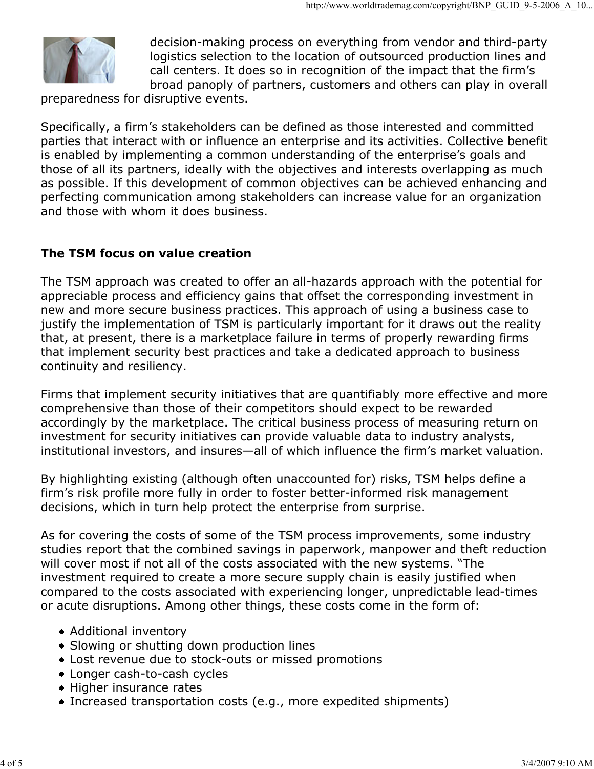

decision-making process on everything from vendor and third-party logistics selection to the location of outsourced production lines and call centers. It does so in recognition of the impact that the firm's broad panoply of partners, customers and others can play in overall

preparedness for disruptive events.

Specifically, a firm's stakeholders can be defined as those interested and committed parties that interact with or influence an enterprise and its activities. Collective benefit is enabled by implementing a common understanding of the enterprise's goals and those of all its partners, ideally with the objectives and interests overlapping as much as possible. If this development of common objectives can be achieved enhancing and perfecting communication among stakeholders can increase value for an organization and those with whom it does business.

### The TSM focus on value creation

The TSM approach was created to offer an all-hazards approach with the potential for appreciable process and efficiency gains that offset the corresponding investment in new and more secure business practices. This approach of using a business case to justify the implementation of TSM is particularly important for it draws out the reality that, at present, there is a marketplace failure in terms of properly rewarding firms that implement security best practices and take a dedicated approach to business continuity and resiliency.

Firms that implement security initiatives that are quantifiably more effective and more comprehensive than those of their competitors should expect to be rewarded accordingly by the marketplace. The critical business process of measuring return on investment for security initiatives can provide valuable data to industry analysts, institutional investors, and insures—all of which influence the firm's market valuation.

By highlighting existing (although often unaccounted for) risks, TSM helps define a firm's risk profile more fully in order to foster better-informed risk management decisions, which in turn help protect the enterprise from surprise.

As for covering the costs of some of the TSM process improvements, some industry studies report that the combined savings in paperwork, manpower and theft reduction will cover most if not all of the costs associated with the new systems. "The investment required to create a more secure supply chain is easily justified when compared to the costs associated with experiencing longer, unpredictable lead-times or acute disruptions. Among other things, these costs come in the form of:

- Additional inventory
- Slowing or shutting down production lines
- Lost revenue due to stock-outs or missed promotions
- Longer cash-to-cash cycles
- Higher insurance rates
- Increased transportation costs (e.g., more expedited shipments)